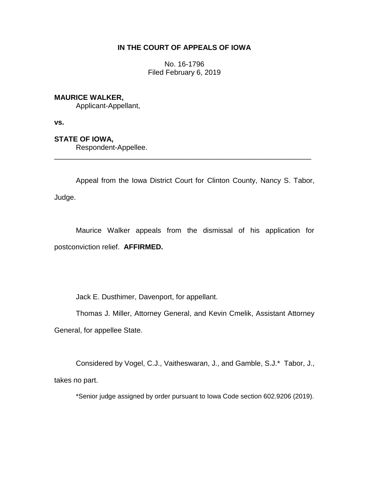# **IN THE COURT OF APPEALS OF IOWA**

No. 16-1796 Filed February 6, 2019

# **MAURICE WALKER,**

Applicant-Appellant,

**vs.**

# **STATE OF IOWA,**

Respondent-Appellee.

Appeal from the Iowa District Court for Clinton County, Nancy S. Tabor, Judge.

\_\_\_\_\_\_\_\_\_\_\_\_\_\_\_\_\_\_\_\_\_\_\_\_\_\_\_\_\_\_\_\_\_\_\_\_\_\_\_\_\_\_\_\_\_\_\_\_\_\_\_\_\_\_\_\_\_\_\_\_\_\_\_\_

Maurice Walker appeals from the dismissal of his application for postconviction relief. **AFFIRMED.**

Jack E. Dusthimer, Davenport, for appellant.

Thomas J. Miller, Attorney General, and Kevin Cmelik, Assistant Attorney General, for appellee State.

Considered by Vogel, C.J., Vaitheswaran, J., and Gamble, S.J.\* Tabor, J., takes no part.

\*Senior judge assigned by order pursuant to Iowa Code section 602.9206 (2019).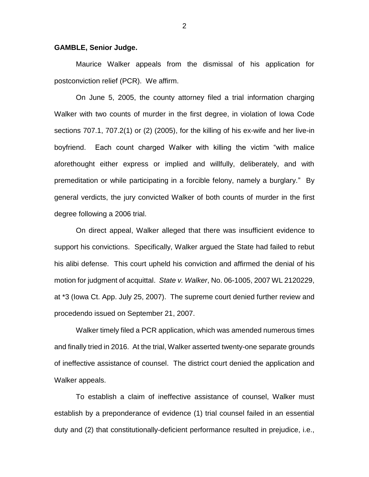#### **GAMBLE, Senior Judge.**

Maurice Walker appeals from the dismissal of his application for postconviction relief (PCR). We affirm.

On June 5, 2005, the county attorney filed a trial information charging Walker with two counts of murder in the first degree, in violation of Iowa Code sections 707.1, 707.2(1) or (2) (2005), for the killing of his ex-wife and her live-in boyfriend. Each count charged Walker with killing the victim "with malice aforethought either express or implied and willfully, deliberately, and with premeditation or while participating in a forcible felony, namely a burglary." By general verdicts, the jury convicted Walker of both counts of murder in the first degree following a 2006 trial.

On direct appeal, Walker alleged that there was insufficient evidence to support his convictions. Specifically, Walker argued the State had failed to rebut his alibi defense. This court upheld his conviction and affirmed the denial of his motion for judgment of acquittal. *State v. Walker*, No. 06-1005, 2007 WL 2120229, at \*3 (Iowa Ct. App. July 25, 2007). The supreme court denied further review and procedendo issued on September 21, 2007.

Walker timely filed a PCR application, which was amended numerous times and finally tried in 2016. At the trial, Walker asserted twenty-one separate grounds of ineffective assistance of counsel. The district court denied the application and Walker appeals.

To establish a claim of ineffective assistance of counsel, Walker must establish by a preponderance of evidence (1) trial counsel failed in an essential duty and (2) that constitutionally-deficient performance resulted in prejudice, i.e.,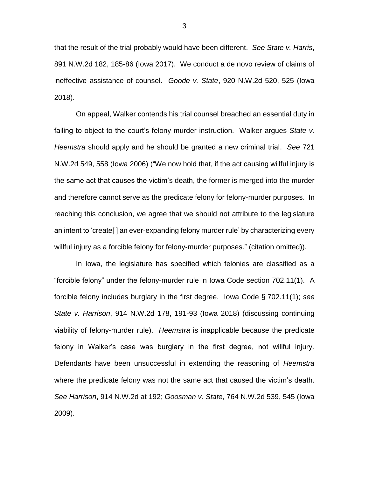that the result of the trial probably would have been different. *See State v. Harris*, 891 N.W.2d 182, 185-86 (Iowa 2017). We conduct a de novo review of claims of ineffective assistance of counsel. *Goode v. State*, 920 N.W.2d 520, 525 (Iowa 2018).

On appeal, Walker contends his trial counsel breached an essential duty in failing to object to the court's felony-murder instruction. Walker argues *State v. Heemstra* should apply and he should be granted a new criminal trial. *See* 721 N.W.2d 549, 558 (Iowa 2006) ("We now hold that, if the act causing willful injury is the same act that causes the victim's death, the former is merged into the murder and therefore cannot serve as the predicate felony for felony-murder purposes. In reaching this conclusion, we agree that we should not attribute to the legislature an intent to 'create[ ] an ever-expanding felony murder rule' by characterizing every willful injury as a forcible felony for felony-murder purposes." (citation omitted)).

In Iowa, the legislature has specified which felonies are classified as a "forcible felony" under the felony-murder rule in Iowa Code section 702.11(1). A forcible felony includes burglary in the first degree. Iowa Code § 702.11(1); *see State v. Harrison*, 914 N.W.2d 178, 191-93 (Iowa 2018) (discussing continuing viability of felony-murder rule). *Heemstra* is inapplicable because the predicate felony in Walker's case was burglary in the first degree, not willful injury. Defendants have been unsuccessful in extending the reasoning of *Heemstra* where the predicate felony was not the same act that caused the victim's death. *See Harrison*, 914 N.W.2d at 192; *Goosman v. State*, 764 N.W.2d 539, 545 (Iowa 2009).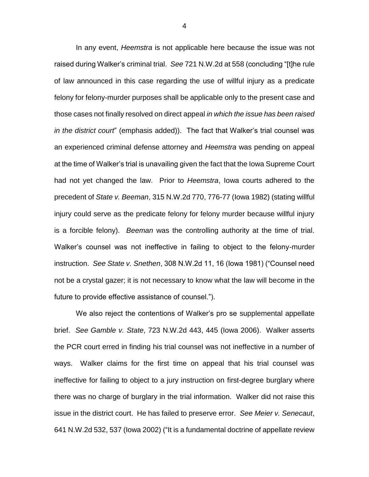In any event, *Heemstra* is not applicable here because the issue was not raised during Walker's criminal trial. *See* 721 N.W.2d at 558 (concluding "[t]he rule of law announced in this case regarding the use of willful injury as a predicate felony for felony-murder purposes shall be applicable only to the present case and those cases not finally resolved on direct appeal *in which the issue has been raised in the district court*" (emphasis added)). The fact that Walker's trial counsel was an experienced criminal defense attorney and *Heemstra* was pending on appeal at the time of Walker's trial is unavailing given the fact that the Iowa Supreme Court had not yet changed the law. Prior to *Heemstra*, Iowa courts adhered to the precedent of *State v. Beeman*, 315 N.W.2d 770, 776-77 (Iowa 1982) (stating willful injury could serve as the predicate felony for felony murder because willful injury is a forcible felony). *Beeman* was the controlling authority at the time of trial. Walker's counsel was not ineffective in failing to object to the felony-murder instruction. *See State v. Snethen*, 308 N.W.2d 11, 16 (Iowa 1981) ("Counsel need not be a crystal gazer; it is not necessary to know what the law will become in the future to provide effective assistance of counsel.").

We also reject the contentions of Walker's pro se supplemental appellate brief. *See Gamble v. State*, 723 N.W.2d 443, 445 (Iowa 2006). Walker asserts the PCR court erred in finding his trial counsel was not ineffective in a number of ways. Walker claims for the first time on appeal that his trial counsel was ineffective for failing to object to a jury instruction on first-degree burglary where there was no charge of burglary in the trial information. Walker did not raise this issue in the district court. He has failed to preserve error. *See Meier v. Senecaut*, 641 N.W.2d 532, 537 (Iowa 2002) ("It is a fundamental doctrine of appellate review